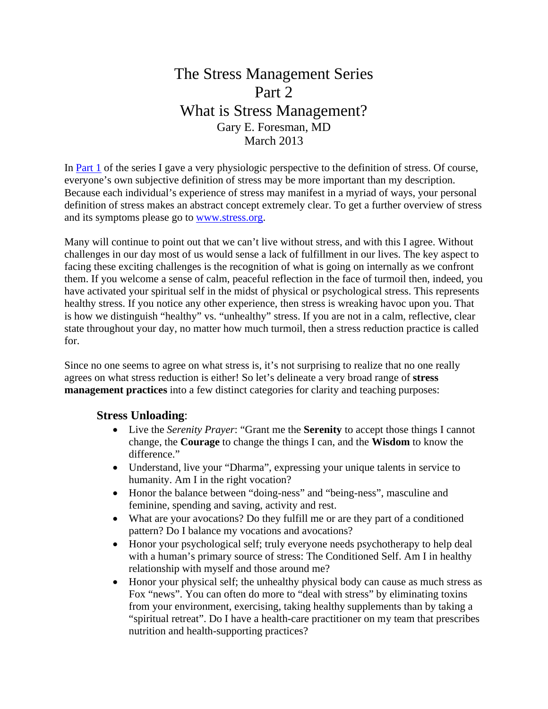# The Stress Management Series Part 2 What is Stress Management? Gary E. Foresman, MD March 2013

In Part 1 of the series I gave a very physiologic perspective to the definition of stress. Of course, everyone's own subjective definition of stress may be more important than my description. Because each individual's experience of stress may manifest in a myriad of ways, your personal definition of stress makes an abstract concept extremely clear. To get a further overview of stress and its symptoms please go to www.stress.org.

Many will continue to point out that we can't live without stress, and with this I agree. Without challenges in our day most of us would sense a lack of fulfillment in our lives. The key aspect to facing these exciting challenges is the recognition of what is going on internally as we confront them. If you welcome a sense of calm, peaceful reflection in the face of turmoil then, indeed, you have activated your spiritual self in the midst of physical or psychological stress. This represents healthy stress. If you notice any other experience, then stress is wreaking havoc upon you. That is how we distinguish "healthy" vs. "unhealthy" stress. If you are not in a calm, reflective, clear state throughout your day, no matter how much turmoil, then a stress reduction practice is called for.

Since no one seems to agree on what stress is, it's not surprising to realize that no one really agrees on what stress reduction is either! So let's delineate a very broad range of **stress management practices** into a few distinct categories for clarity and teaching purposes:

#### **Stress Unloading**:

- Live the *Serenity Prayer*: "Grant me the **Serenity** to accept those things I cannot change, the **Courage** to change the things I can, and the **Wisdom** to know the difference."
- Understand, live your "Dharma", expressing your unique talents in service to humanity. Am I in the right vocation?
- Honor the balance between "doing-ness" and "being-ness", masculine and feminine, spending and saving, activity and rest.
- What are your avocations? Do they fulfill me or are they part of a conditioned pattern? Do I balance my vocations and avocations?
- Honor your psychological self; truly everyone needs psychotherapy to help deal with a human's primary source of stress: The Conditioned Self. Am I in healthy relationship with myself and those around me?
- Honor your physical self; the unhealthy physical body can cause as much stress as Fox "news". You can often do more to "deal with stress" by eliminating toxins from your environment, exercising, taking healthy supplements than by taking a "spiritual retreat". Do I have a health-care practitioner on my team that prescribes nutrition and health-supporting practices?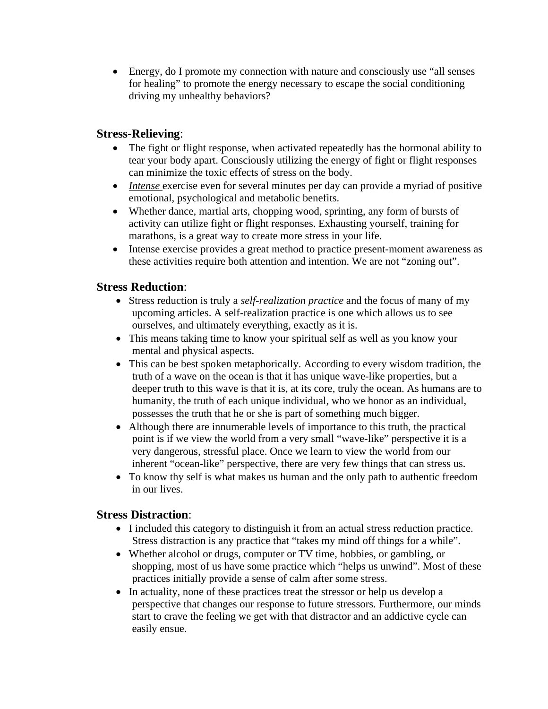Energy, do I promote my connection with nature and consciously use "all senses for healing" to promote the energy necessary to escape the social conditioning driving my unhealthy behaviors?

### **Stress-Relieving**:

- The fight or flight response, when activated repeatedly has the hormonal ability to tear your body apart. Consciously utilizing the energy of fight or flight responses can minimize the toxic effects of stress on the body.
- *Intense* exercise even for several minutes per day can provide a myriad of positive emotional, psychological and metabolic benefits.
- Whether dance, martial arts, chopping wood, sprinting, any form of bursts of activity can utilize fight or flight responses. Exhausting yourself, training for marathons, is a great way to create more stress in your life.
- Intense exercise provides a great method to practice present-moment awareness as these activities require both attention and intention. We are not "zoning out".

## **Stress Reduction**:

- Stress reduction is truly a *self-realization practice* and the focus of many of my upcoming articles. A self-realization practice is one which allows us to see ourselves, and ultimately everything, exactly as it is.
- This means taking time to know your spiritual self as well as you know your mental and physical aspects.
- This can be best spoken metaphorically. According to every wisdom tradition, the truth of a wave on the ocean is that it has unique wave-like properties, but a deeper truth to this wave is that it is, at its core, truly the ocean. As humans are to humanity, the truth of each unique individual, who we honor as an individual, possesses the truth that he or she is part of something much bigger.
- Although there are innumerable levels of importance to this truth, the practical point is if we view the world from a very small "wave-like" perspective it is a very dangerous, stressful place. Once we learn to view the world from our inherent "ocean-like" perspective, there are very few things that can stress us.
- To know thy self is what makes us human and the only path to authentic freedom in our lives.

#### **Stress Distraction**:

- I included this category to distinguish it from an actual stress reduction practice. Stress distraction is any practice that "takes my mind off things for a while".
- Whether alcohol or drugs, computer or TV time, hobbies, or gambling, or shopping, most of us have some practice which "helps us unwind". Most of these practices initially provide a sense of calm after some stress.
- In actuality, none of these practices treat the stressor or help us develop a perspective that changes our response to future stressors. Furthermore, our minds start to crave the feeling we get with that distractor and an addictive cycle can easily ensue.